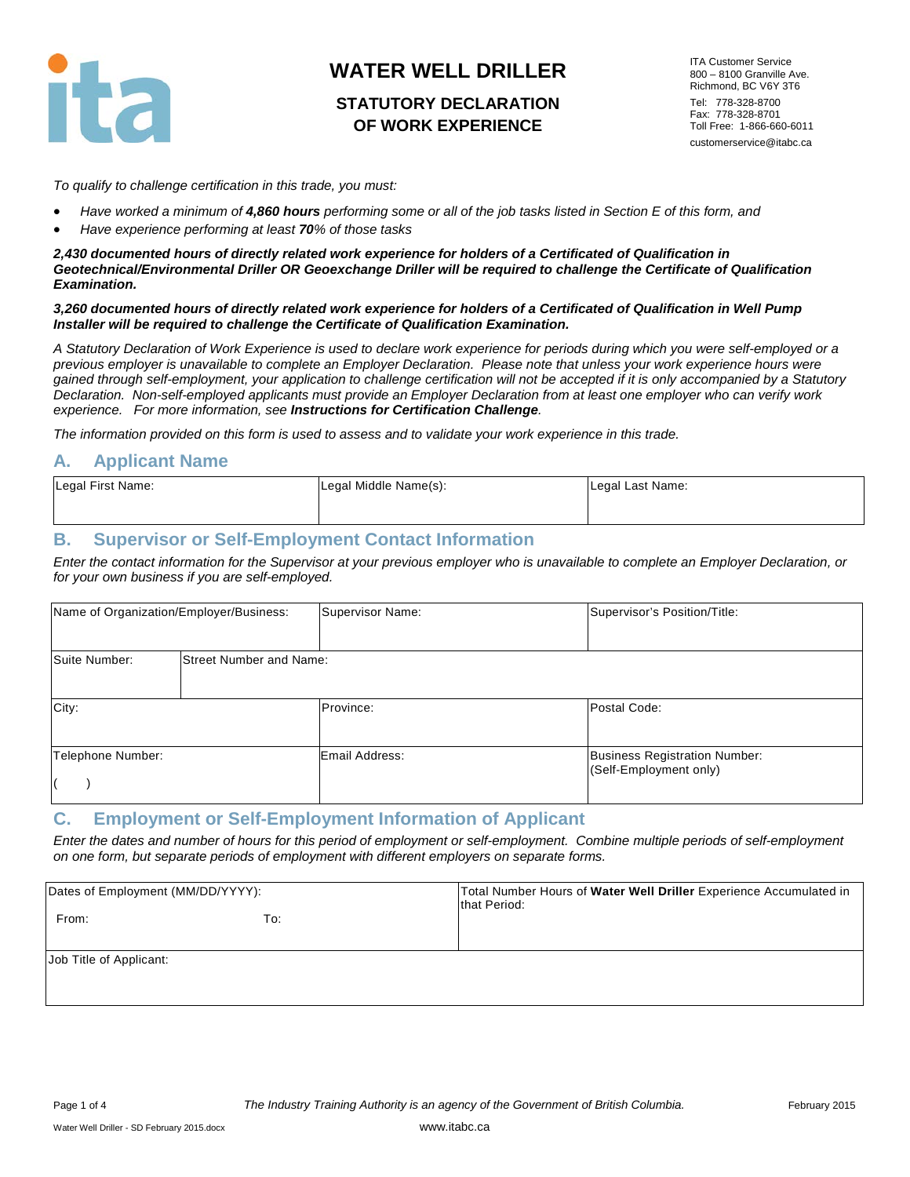

# **STATUTORY DECLARATION OF WORK EXPERIENCE**

ITA Customer Service 800 – 8100 Granville Ave. Richmond, BC V6Y 3T6 Tel: 778-328-8700 Fax: 778-328-8701 Toll Free: 1-866-660-6011 customerservice@itabc.ca

*To qualify to challenge certification in this trade, you must:*

- *Have worked a minimum of 4,860 hours performing some or all of the job tasks listed in Section E of this form, and*
- *Have experience performing at least 70% of those tasks*

*2,430 documented hours of directly related work experience for holders of a Certificated of Qualification in Geotechnical/Environmental Driller OR Geoexchange Driller will be required to challenge the Certificate of Qualification Examination.*

#### *3,260 documented hours of directly related work experience for holders of a Certificated of Qualification in Well Pump Installer will be required to challenge the Certificate of Qualification Examination.*

*A Statutory Declaration of Work Experience is used to declare work experience for periods during which you were self-employed or a previous employer is unavailable to complete an Employer Declaration. Please note that unless your work experience hours were gained through self-employment, your application to challenge certification will not be accepted if it is only accompanied by a Statutory Declaration. Non-self-employed applicants must provide an Employer Declaration from at least one employer who can verify work experience. For more information, see Instructions for Certification Challenge.* 

*The information provided on this form is used to assess and to validate your work experience in this trade.* 

### **A. Applicant Name**

| Legal First Name: | Legal Middle Name(s): | Legal Last Name: |
|-------------------|-----------------------|------------------|
|                   |                       |                  |

### **B. Supervisor or Self-Employment Contact Information**

*Enter the contact information for the Supervisor at your previous employer who is unavailable to complete an Employer Declaration, or for your own business if you are self-employed.*

| Name of Organization/Employer/Business: |                                | Supervisor Name: | Supervisor's Position/Title:                                   |
|-----------------------------------------|--------------------------------|------------------|----------------------------------------------------------------|
| Suite Number:                           | <b>Street Number and Name:</b> |                  |                                                                |
| City:                                   |                                | Province:        | Postal Code:                                                   |
| Telephone Number:                       |                                | Email Address:   | <b>Business Registration Number:</b><br>(Self-Employment only) |

### **C. Employment or Self-Employment Information of Applicant**

*Enter the dates and number of hours for this period of employment or self-employment. Combine multiple periods of self-employment on one form, but separate periods of employment with different employers on separate forms.*

| Dates of Employment (MM/DD/YYYY): |     | Total Number Hours of Water Well Driller Experience Accumulated in<br>that Period: |
|-----------------------------------|-----|------------------------------------------------------------------------------------|
| From:                             | To: |                                                                                    |
| Job Title of Applicant:           |     |                                                                                    |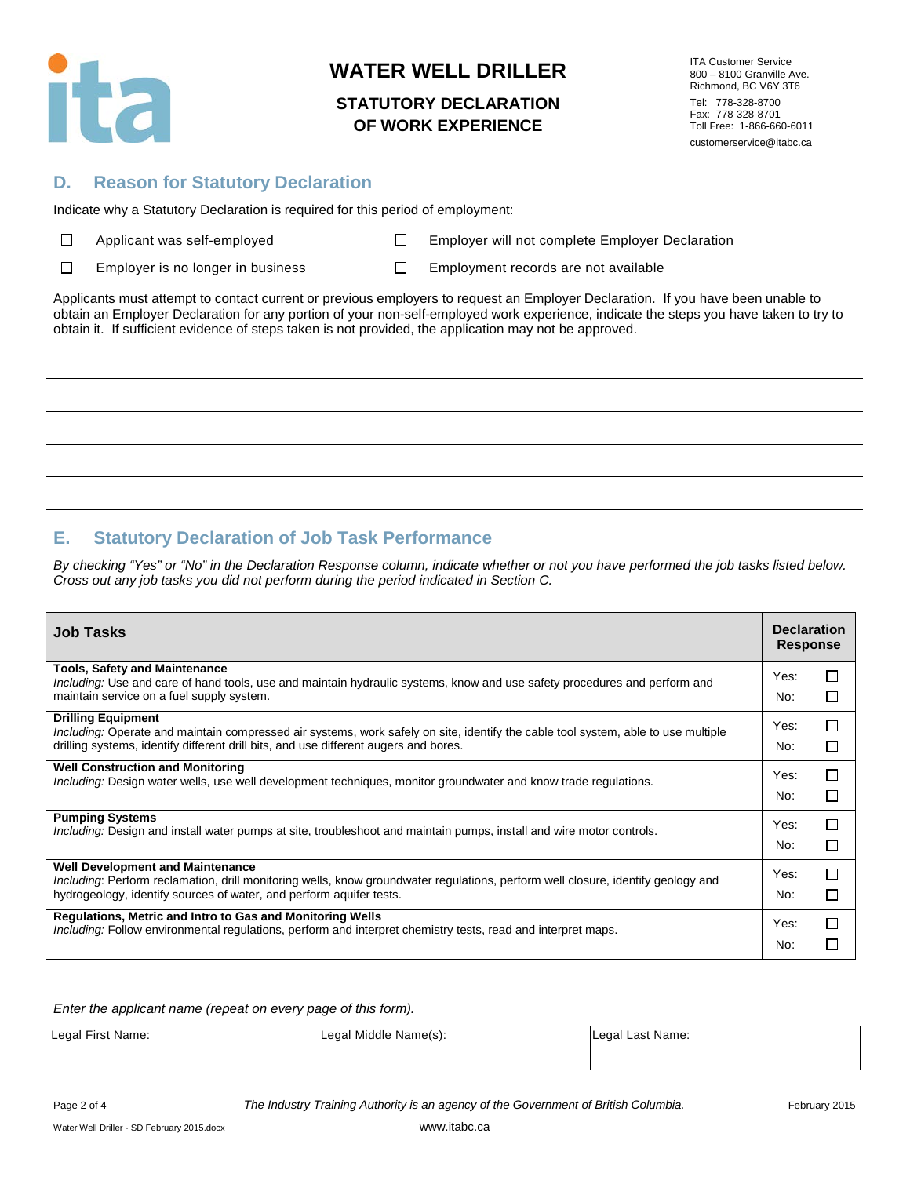

## **STATUTORY DECLARATION OF WORK EXPERIENCE**

ITA Customer Service 800 – 8100 Granville Ave. Richmond, BC V6Y 3T6 Tel: 778-328-8700 Fax: 778-328-8701 Toll Free: 1-866-660-6011 customerservice@itabc.ca

## **D. Reason for Statutory Declaration**

Indicate why a Statutory Declaration is required for this period of employment:

|  | $\Box$ | Applicant was self-employe |  |
|--|--------|----------------------------|--|
|--|--------|----------------------------|--|

Applicant Mapple Employer will not complete Employer Declaration

 $\Box$ Employer is no longer in business  $\Box$  Employment records are not available

Applicants must attempt to contact current or previous employers to request an Employer Declaration. If you have been unable to obtain an Employer Declaration for any portion of your non-self-employed work experience, indicate the steps you have taken to try to obtain it. If sufficient evidence of steps taken is not provided, the application may not be approved.

# **E. Statutory Declaration of Job Task Performance**

*By checking "Yes" or "No" in the Declaration Response column, indicate whether or not you have performed the job tasks listed below. Cross out any job tasks you did not perform during the period indicated in Section C.*

| <b>Job Tasks</b>                                                                                                                                                                                                                                       | <b>Declaration</b><br><b>Response</b> |                   |
|--------------------------------------------------------------------------------------------------------------------------------------------------------------------------------------------------------------------------------------------------------|---------------------------------------|-------------------|
| <b>Tools, Safety and Maintenance</b><br>Including: Use and care of hand tools, use and maintain hydraulic systems, know and use safety procedures and perform and<br>maintain service on a fuel supply system.                                         | Yes:<br>No:                           | $\mathsf{L}$<br>П |
| <b>Drilling Equipment</b><br>Including: Operate and maintain compressed air systems, work safely on site, identify the cable tool system, able to use multiple<br>drilling systems, identify different drill bits, and use different augers and bores. | Yes:<br>No:                           | П<br>П            |
| <b>Well Construction and Monitoring</b><br>Including: Design water wells, use well development techniques, monitor groundwater and know trade regulations.                                                                                             | Yes:<br>No:                           | П<br>П            |
| <b>Pumping Systems</b><br><i>Including</i> : Design and install water pumps at site, troubleshoot and maintain pumps, install and wire motor controls.                                                                                                 | Yes:<br>No:                           | П<br>ΙI           |
| <b>Well Development and Maintenance</b><br>Including: Perform reclamation, drill monitoring wells, know groundwater regulations, perform well closure, identify geology and<br>hydrogeology, identify sources of water, and perform aquifer tests.     | Yes:<br>No:                           | П<br>П            |
| Regulations, Metric and Intro to Gas and Monitoring Wells<br>Including: Follow environmental regulations, perform and interpret chemistry tests, read and interpret maps.                                                                              | Yes:<br>No:                           | П                 |

*Enter the applicant name (repeat on every page of this form).*

| Legal First Name: | Legal Middle Name(s): | Legal Last Name: |
|-------------------|-----------------------|------------------|
|                   |                       |                  |

Page 2 of 4 *The Industry Training Authority is an agency of the Government of British Columbia.* February 2015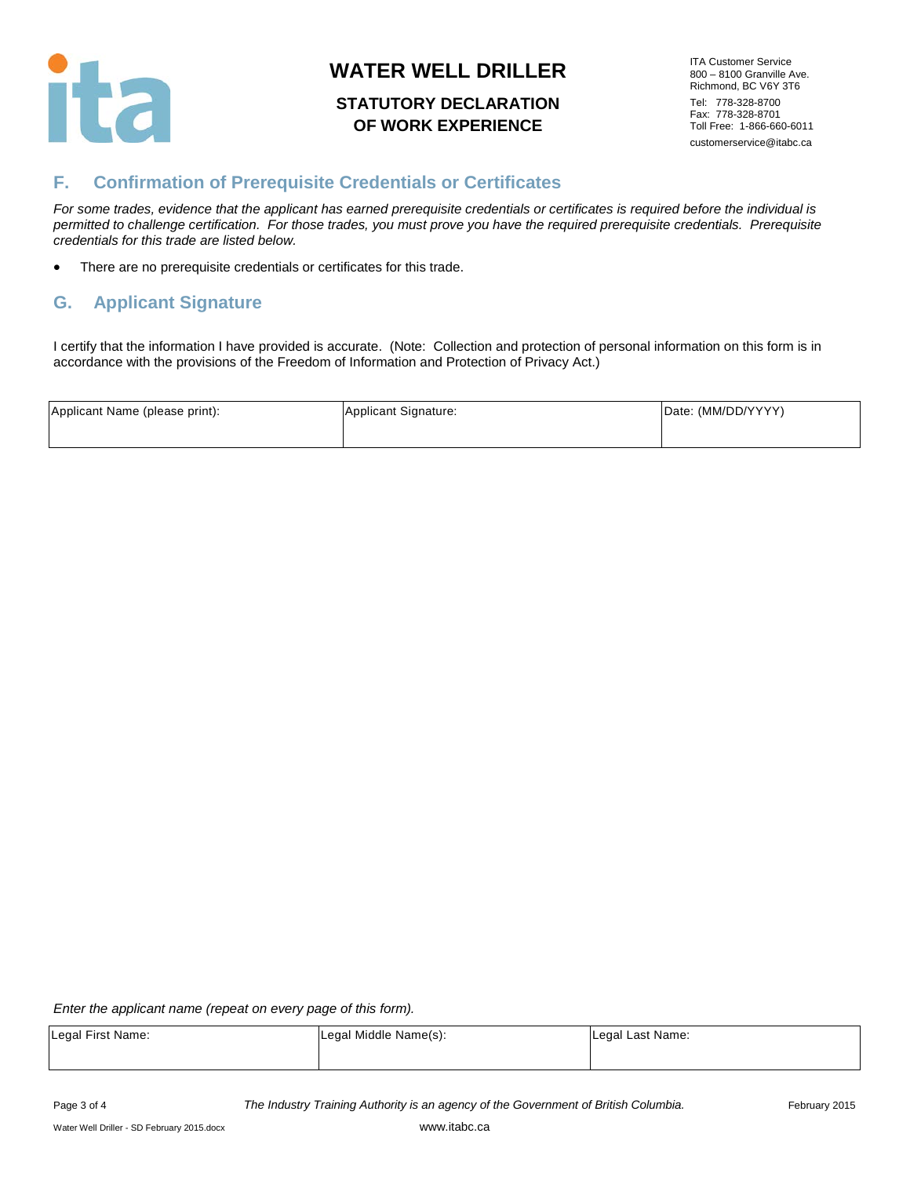

## **STATUTORY DECLARATION OF WORK EXPERIENCE**

ITA Customer Service 800 – 8100 Granville Ave. Richmond, BC V6Y 3T6 Tel: 778-328-8700 Fax: 778-328-8701 Toll Free: 1-866-660-6011 customerservice@itabc.ca

# **F. Confirmation of Prerequisite Credentials or Certificates**

*For some trades, evidence that the applicant has earned prerequisite credentials or certificates is required before the individual is permitted to challenge certification. For those trades, you must prove you have the required prerequisite credentials. Prerequisite credentials for this trade are listed below.*

• There are no prerequisite credentials or certificates for this trade.

## **G. Applicant Signature**

I certify that the information I have provided is accurate. (Note: Collection and protection of personal information on this form is in accordance with the provisions of the Freedom of Information and Protection of Privacy Act.)

| Applicant Name (please print): | Applicant Signature: | Date: (MM/DD/YYYY) |
|--------------------------------|----------------------|--------------------|
|                                |                      |                    |

*Enter the applicant name (repeat on every page of this form).*

| Legal First Name: | Legal Middle Name(s): | Legal Last Name: |
|-------------------|-----------------------|------------------|
|                   |                       |                  |

Page 3 of 4 *The Industry Training Authority is an agency of the Government of British Columbia.* February 2015